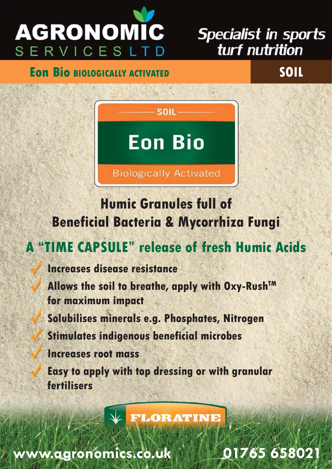

### **Specialist in sports** turf nutrition

**Eon Bio BIOLOGICALLY ACTIVATED SOIL**

**Eon Bio** 

**SOIL** 

**Biologically Activated** 

**Humic Granules full of Beneficial Bacteria & Mycorrhiza Fungi**

## **A "TIME CAPSULE" release of fresh Humic Acids**

**Increases disease resistance** Allows the soil to breathe, apply with Oxy-Rush<sup>TM</sup> **for maximum impact Solubilises minerals e.g. Phosphates, Nitrogen Stimulates indigenous beneficial microbes Increases root mass Easy to apply with top dressing or with granular** 

**FLORATINE** 

www.agronomics.com/2017/2017/2017/2017/2017

**fertilisers**